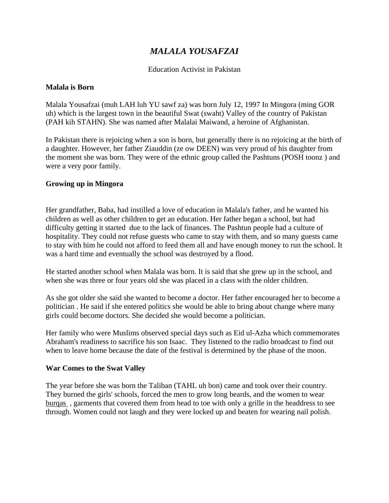# *MALALA YOUSAFZAI*

## Education Activist in Pakistan

#### **Malala is Born**

Malala Yousafzai (muh LAH luh YU sawf za) was born July 12, 1997 In Mingora (ming GOR uh) which is the largest town in the beautiful Swat (swaht) Valley of the country of Pakistan (PAH kih STAHN). She was named after Malalai Maiwand, a heroine of Afghanistan.

In Pakistan there is rejoicing when a son is born, but generally there is no rejoicing at the birth of a daughter. However, her father Ziauddin (ze ow DEEN) was very proud of his daughter from the moment she was born. They were of the ethnic group called the Pashtuns (POSH toonz ) and were a very poor family.

## **Growing up in Mingora**

Her grandfather, Baba, had instilled a love of education in Malala's father, and he wanted his children as well as other children to get an education. Her father began a school, but had difficulty getting it started due to the lack of finances. The Pashtun people had a culture of hospitality. They could not refuse guests who came to stay with them, and so many guests came to stay with him he could not afford to feed them all and have enough money to run the school. It was a hard time and eventually the school was destroyed by a flood.

He started another school when Malala was born. It is said that she grew up in the school, and when she was three or four years old she was placed in a class with the older children.

As she got older she said she wanted to become a doctor. Her father encouraged her to become a politician . He said if she entered politics she would be able to bring about change where many girls could become doctors. She decided she would become a politician.

Her family who were Muslims observed special days such as Eid ul-Azha which commemorates Abraham's readiness to sacrifice his son Isaac. They listened to the radio broadcast to find out when to leave home because the date of the festival is determined by the phase of the moon.

#### **War Comes to the Swat Valley**

The year before she was born the Taliban (TAHL uh bon) came and took over their country. They burned the girls' schools, forced the men to grow long beards, and the women to wear burqas , garments that covered them from head to toe with only a grille in the headdress to see through. Women could not laugh and they were locked up and beaten for wearing nail polish.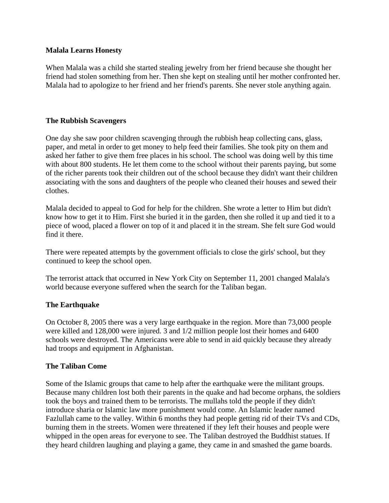#### **Malala Learns Honesty**

When Malala was a child she started stealing jewelry from her friend because she thought her friend had stolen something from her. Then she kept on stealing until her mother confronted her. Malala had to apologize to her friend and her friend's parents. She never stole anything again.

## **The Rubbish Scavengers**

One day she saw poor children scavenging through the rubbish heap collecting cans, glass, paper, and metal in order to get money to help feed their families. She took pity on them and asked her father to give them free places in his school. The school was doing well by this time with about 800 students. He let them come to the school without their parents paying, but some of the richer parents took their children out of the school because they didn't want their children associating with the sons and daughters of the people who cleaned their houses and sewed their clothes.

Malala decided to appeal to God for help for the children. She wrote a letter to Him but didn't know how to get it to Him. First she buried it in the garden, then she rolled it up and tied it to a piece of wood, placed a flower on top of it and placed it in the stream. She felt sure God would find it there.

There were repeated attempts by the government officials to close the girls' school, but they continued to keep the school open.

The terrorist attack that occurred in New York City on September 11, 2001 changed Malala's world because everyone suffered when the search for the Taliban began.

# **The Earthquake**

On October 8, 2005 there was a very large earthquake in the region. More than 73,000 people were killed and 128,000 were injured. 3 and 1/2 million people lost their homes and 6400 schools were destroyed. The Americans were able to send in aid quickly because they already had troops and equipment in Afghanistan.

# **The Taliban Come**

Some of the Islamic groups that came to help after the earthquake were the militant groups. Because many children lost both their parents in the quake and had become orphans, the soldiers took the boys and trained them to be terrorists. The mullahs told the people if they didn't introduce sharia or Islamic law more punishment would come. An Islamic leader named Fazlullah came to the valley. Within 6 months they had people getting rid of their TVs and CDs, burning them in the streets. Women were threatened if they left their houses and people were whipped in the open areas for everyone to see. The Taliban destroyed the Buddhist statues. If they heard children laughing and playing a game, they came in and smashed the game boards.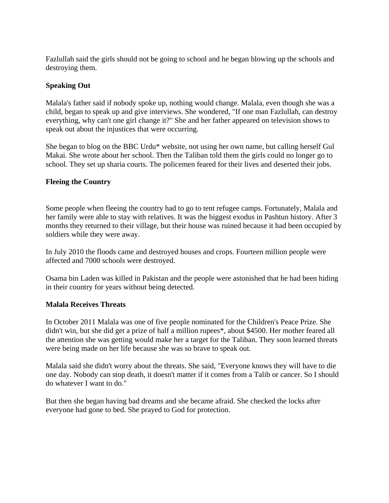Fazlullah said the girls should not be going to school and he began blowing up the schools and destroying them.

## **Speaking Out**

Malala's father said if nobody spoke up, nothing would change. Malala, even though she was a child, began to speak up and give interviews. She wondered, "If one man Fazlullah, can destroy everything, why can't one girl change it?" She and her father appeared on television shows to speak out about the injustices that were occurring.

She began to blog on the BBC Urdu\* website, not using her own name, but calling herself Gul Makai. She wrote about her school. Then the Taliban told them the girls could no longer go to school. They set up sharia courts. The policemen feared for their lives and deserted their jobs.

#### **Fleeing the Country**

Some people when fleeing the country had to go to tent refugee camps. Fortunately, Malala and her family were able to stay with relatives. It was the biggest exodus in Pashtun history. After 3 months they returned to their village, but their house was ruined because it had been occupied by soldiers while they were away.

In July 2010 the floods came and destroyed houses and crops. Fourteen million people were affected and 7000 schools were destroyed.

Osama bin Laden was killed in Pakistan and the people were astonished that he had been hiding in their country for years without being detected.

#### **Malala Receives Threats**

In October 2011 Malala was one of five people nominated for the Children's Peace Prize. She didn't win, but she did get a prize of half a million rupees\*, about \$4500. Her mother feared all the attention she was getting would make her a target for the Taliban. They soon learned threats were being made on her life because she was so brave to speak out.

Malala said she didn't worry about the threats. She said, "Everyone knows they will have to die one day. Nobody can stop death, it doesn't matter if it comes from a Talib or cancer. So I should do whatever I want to do."

But then she began having bad dreams and she became afraid. She checked the locks after everyone had gone to bed. She prayed to God for protection.